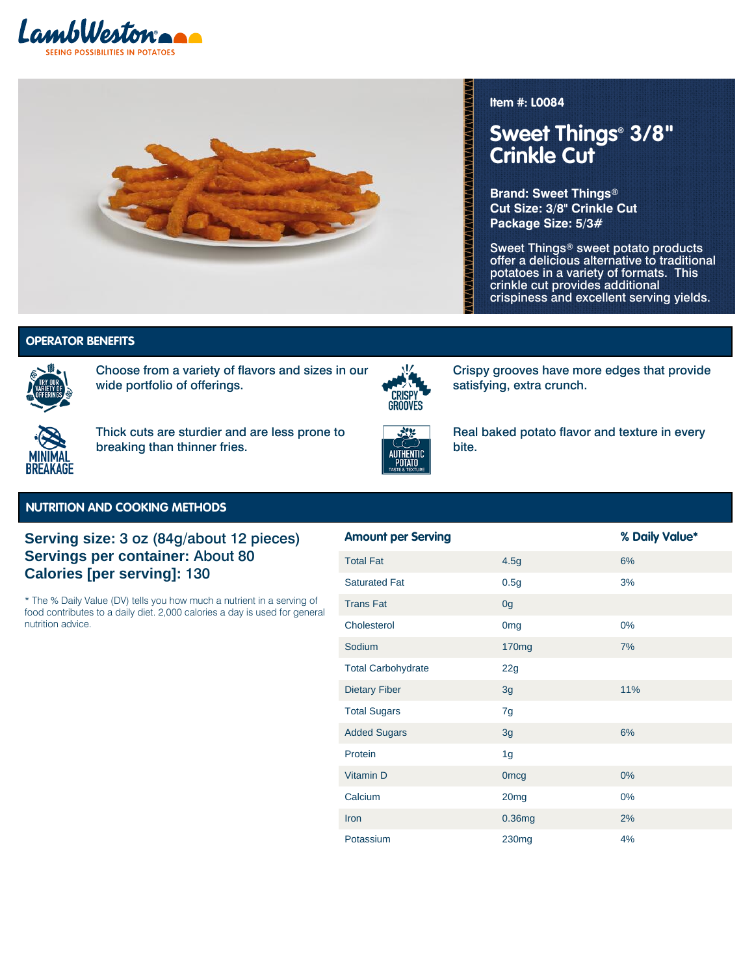



### **Item #: L0084**

**VAVANANANANANANANANANANANANAN** 

satisfying, extra crunch.

# **Sweet Things® 3/8" Crinkle Cut**

**Brand: Sweet Things® Cut Size: 3/8" Crinkle Cut Package Size: 5/3#**

Sweet Things® sweet potato products offer a delicious alternative to traditional potatoes in a variety of formats. This crinkle cut provides additional crispiness and excellent serving yields.

Variety of Offerings | Crispy Grooves - **Variety of Offerings | Crispy Grooves -**

## **AUTHOR BENEFITS AND TASTE AUTHOR SERVICES AND TASTE AUTHOR CONTINUES.**



Choose from a variety of flavors and sizes in our wide portfolio of offerings.



Thick cuts are sturdier and are less prone to breaking than thinner fries.



Real baked potato flavor and texture in every bite.

Crispy grooves have more edges that provide

#### **NUTRITION AND COOKING METHODS**

## **Serving size:** 3 oz (84g/about 12 pieces) **Servings per container:** About 80 **Calories [per serving]:** 130

\* The % Daily Value (DV) tells you how much a nutrient in a serving of food contributes to a daily diet. 2,000 calories a day is used for general nutrition advice.

| <b>Amount per Serving</b> |                    | % Daily Value* |
|---------------------------|--------------------|----------------|
| <b>Total Fat</b>          | 4.5g               | 6%             |
| <b>Saturated Fat</b>      | 0.5g               | 3%             |
| <b>Trans Fat</b>          | 0g                 |                |
| Cholesterol               | 0 <sub>mg</sub>    | 0%             |
| Sodium                    | 170 <sub>mg</sub>  | 7%             |
| <b>Total Carbohydrate</b> | 22g                |                |
| <b>Dietary Fiber</b>      | 3g                 | 11%            |
| <b>Total Sugars</b>       | 7g                 |                |
| <b>Added Sugars</b>       | 3g                 | 6%             |
| Protein                   | 1 <sub>g</sub>     |                |
| Vitamin D                 | <b>Omcg</b>        | $0\%$          |
| Calcium                   | 20 <sub>mg</sub>   | 0%             |
| Iron                      | 0.36 <sub>mg</sub> | 2%             |
| Potassium                 | 230 <sub>mg</sub>  | 4%             |